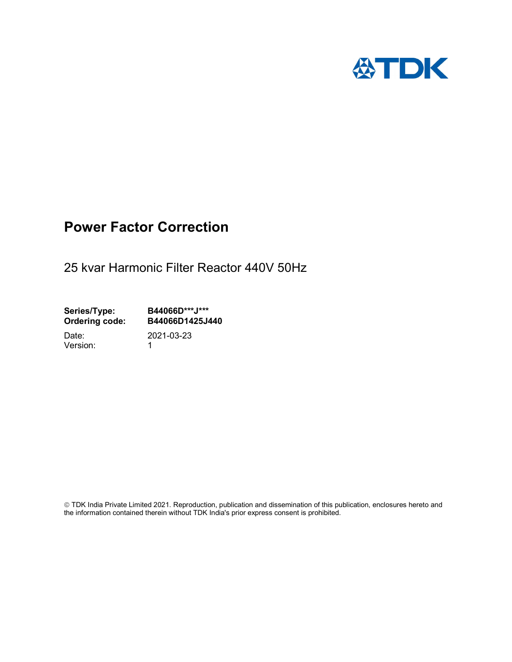

## Power Factor Correction

25 kvar Harmonic Filter Reactor 440V 50Hz

Series/Type: B44066D\*\*\*J\*\*\*<br>Ordering code: B44066D1425J4 B44066D1425J440

Version: 1

Date: 2021-03-23

 TDK India Private Limited 2021. Reproduction, publication and dissemination of this publication, enclosures hereto and the information contained therein without TDK India's prior express consent is prohibited.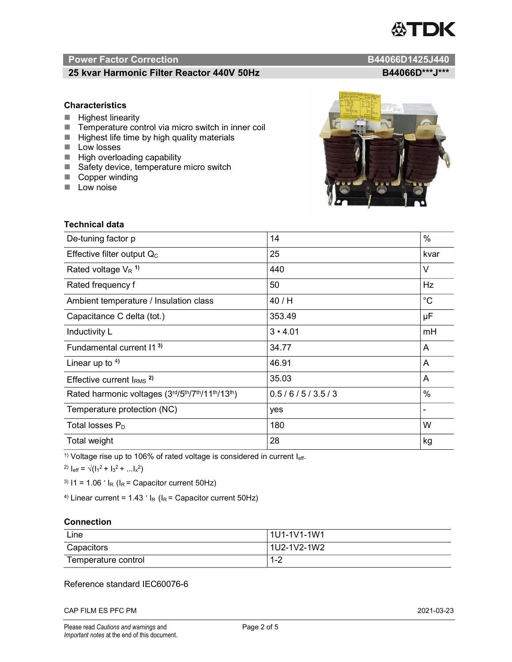# TDK

### Power Factor Correction and B44066D1425J440

### 25 kvar Harmonic Filter Reactor 440V 50Hz B44066D\*\*\*J\*\*\*

### **Characteristics**

- $\blacksquare$  Highest linearity
- Temperature control via micro switch in inner coil
- $\blacksquare$  Highest life time by high quality materials
- **Low losses**
- $\blacksquare$  High overloading capability
- Safety device, temperature micro switch
- Copper winding
- **Low noise**

Technical data

| De-tuning factor p                              | 14             | $\%$        |
|-------------------------------------------------|----------------|-------------|
| Effective filter output $Q_C$                   | 25             | kvar        |
| Rated voltage $V_R$ <sup>1)</sup>               | 440            | V           |
| Rated frequency f                               | 50             | Hz          |
| Ambient temperature / Insulation class          | 40 / H         | $^{\circ}C$ |
| Capacitance C delta (tot.)                      | 353.49         | μF          |
| Inductivity L                                   | $3 \cdot 4.01$ | mH          |
| Fundamental current 11 <sup>3)</sup>            | 34.77          | A           |
| Linear up to $4$ )                              | 46.91          | A           |
| Effective current $IRMS$ <sup>2)</sup>          | 35.03          | A           |
| Rated harmonic voltages (3rd/5th/7th/11th/13th) | 0.5/6/5/3.5/3  | %           |
| Temperature protection (NC)                     | yes            |             |
| Total losses $P_D$                              | 180            | W           |
| Total weight                                    | 28             | kg          |

<sup>1)</sup> Voltage rise up to 106% of rated voltage is considered in current  $I_{\text{eff}}$ .

<sup>2)</sup>  $I_{eff} = \sqrt{(I_1^2 + I_3^2 + ... I_x^2)}$ 

<sup>3)</sup>  $11 = 1.06$   $\cdot$   $I_R$  ( $I_R$  = Capacitor current 50Hz)

<sup>4)</sup> Linear current =  $1.43$   $\cdot$  I<sub>R</sub> (I<sub>R</sub> = Capacitor current 50Hz)

### **Connection**

| Line                | 1U1-1V1-1W1                                   |
|---------------------|-----------------------------------------------|
| Capacitors          | l 1U2-1V2-1W2                                 |
| Temperature control | $\sqrt{2}$<br>$\overline{\phantom{a}}$<br>1-4 |

### Reference standard IEC60076-6

CAP FILM ES PFC PM 2021-03-23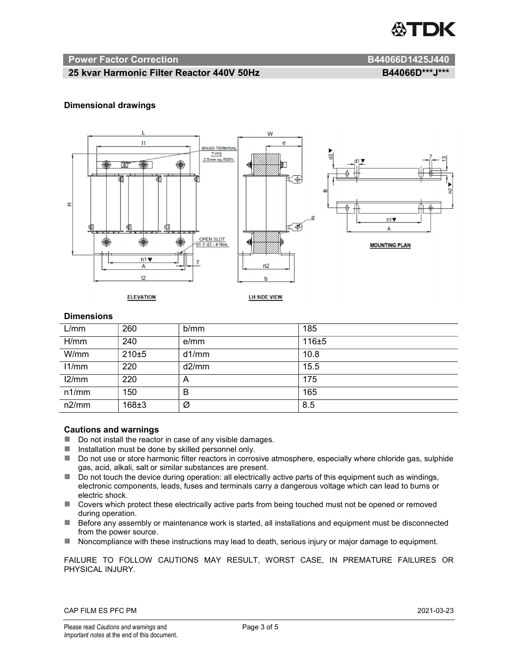

### Power Factor Correction and B44066D1425J440

### 25 kvar Harmonic Filter Reactor 440V 50Hz B44066D\*\*\*J\*\*\*

### Dimensional drawings



### **Dimensions**

| L/mm  | 260     | b/mm  | 185   |
|-------|---------|-------|-------|
| H/mm  | 240     | e/mm  | 116±5 |
| W/mm  | $210+5$ | d1/mm | 10.8  |
| 11/mm | 220     | d2/mm | 15.5  |
| 12/mm | 220     | A     | 175   |
| n1/mm | 150     | B     | 165   |
| n2/mm | 168±3   | Ø     | 8.5   |

### Cautions and warnings

- Do not install the reactor in case of any visible damages.
- $\blacksquare$  Installation must be done by skilled personnel only.
- Do not use or store harmonic filter reactors in corrosive atmosphere, especially where chloride gas, sulphide gas, acid, alkali, salt or similar substances are present.
- $\Box$  Do not touch the device during operation: all electrically active parts of this equipment such as windings, electronic components, leads, fuses and terminals carry a dangerous voltage which can lead to burns or electric shock.
- Covers which protect these electrically active parts from being touched must not be opened or removed during operation.
- Before any assembly or maintenance work is started, all installations and equipment must be disconnected from the power source.
- Noncompliance with these instructions may lead to death, serious injury or major damage to equipment.

FAILURE TO FOLLOW CAUTIONS MAY RESULT, WORST CASE, IN PREMATURE FAILURES OR PHYSICAL INJURY.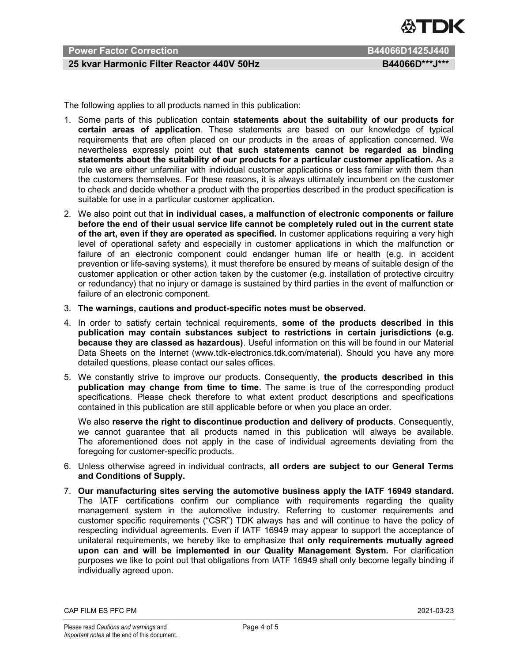

### Power Factor Correction **B44066D1425J440**

### 25 kvar Harmonic Filter Reactor 440V 50Hz B44066D\*\*\*J\*\*\*

The following applies to all products named in this publication:

- 1. Some parts of this publication contain statements about the suitability of our products for certain areas of application. These statements are based on our knowledge of typical requirements that are often placed on our products in the areas of application concerned. We nevertheless expressly point out that such statements cannot be regarded as binding statements about the suitability of our products for a particular customer application. As a rule we are either unfamiliar with individual customer applications or less familiar with them than the customers themselves. For these reasons, it is always ultimately incumbent on the customer to check and decide whether a product with the properties described in the product specification is suitable for use in a particular customer application.
- 2. We also point out that in individual cases, a malfunction of electronic components or failure before the end of their usual service life cannot be completely ruled out in the current state of the art, even if they are operated as specified. In customer applications requiring a very high level of operational safety and especially in customer applications in which the malfunction or failure of an electronic component could endanger human life or health (e.g. in accident prevention or life-saving systems), it must therefore be ensured by means of suitable design of the customer application or other action taken by the customer (e.g. installation of protective circuitry or redundancy) that no injury or damage is sustained by third parties in the event of malfunction or failure of an electronic component.
- 3. The warnings, cautions and product-specific notes must be observed.
- 4. In order to satisfy certain technical requirements, some of the products described in this publication may contain substances subject to restrictions in certain jurisdictions (e.g. because they are classed as hazardous). Useful information on this will be found in our Material Data Sheets on the Internet (www.tdk-electronics.tdk.com/material). Should you have any more detailed questions, please contact our sales offices.
- 5. We constantly strive to improve our products. Consequently, the products described in this publication may change from time to time. The same is true of the corresponding product specifications. Please check therefore to what extent product descriptions and specifications contained in this publication are still applicable before or when you place an order.

We also reserve the right to discontinue production and delivery of products. Consequently, we cannot guarantee that all products named in this publication will always be available. The aforementioned does not apply in the case of individual agreements deviating from the foregoing for customer-specific products.

- 6. Unless otherwise agreed in individual contracts, all orders are subject to our General Terms and Conditions of Supply.
- 7. Our manufacturing sites serving the automotive business apply the IATF 16949 standard. The IATF certifications confirm our compliance with requirements regarding the quality management system in the automotive industry. Referring to customer requirements and customer specific requirements ("CSR") TDK always has and will continue to have the policy of respecting individual agreements. Even if IATF 16949 may appear to support the acceptance of unilateral requirements, we hereby like to emphasize that only requirements mutually agreed upon can and will be implemented in our Quality Management System. For clarification purposes we like to point out that obligations from IATF 16949 shall only become legally binding if individually agreed upon.